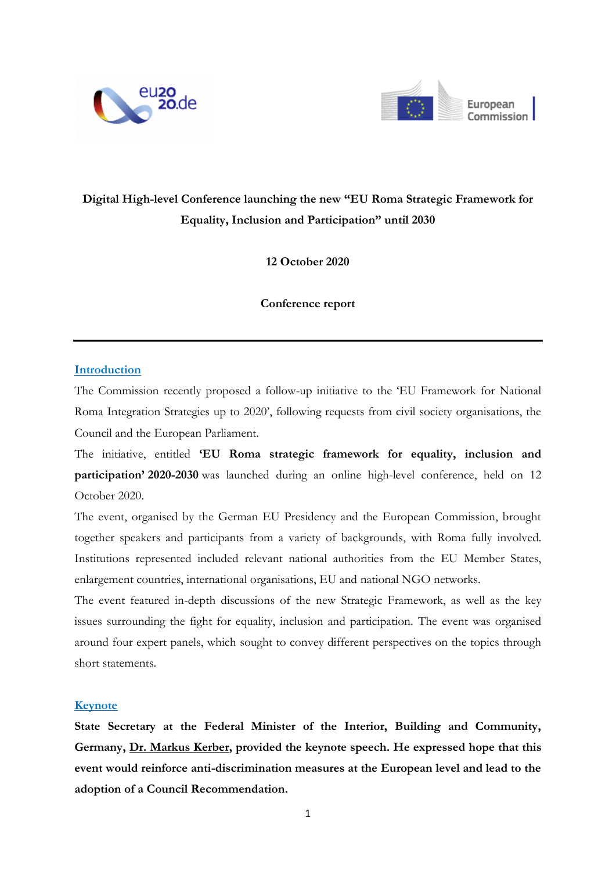



# **Digital High-level Conference launching the new "EU Roma Strategic Framework for Equality, Inclusion and Participation" until 2030**

**12 October 2020**

**Conference report**

## **Introduction**

The Commission recently proposed a follow-up initiative to the 'EU Framework for National Roma Integration Strategies up to 2020', following requests from civil society organisations, the Council and the European Parliament.

The initiative, entitled **'EU Roma strategic framework for equality, inclusion and participation' 2020-2030** was launched during an online high-level conference, held on 12 October 2020.

The event, organised by the German EU Presidency and the European Commission, brought together speakers and participants from a variety of backgrounds, with Roma fully involved. Institutions represented included relevant national authorities from the EU Member States, enlargement countries, international organisations, EU and national NGO networks.

The event featured in-depth discussions of the new Strategic Framework, as well as the key issues surrounding the fight for equality, inclusion and participation. The event was organised around four expert panels, which sought to convey different perspectives on the topics through short statements.

## **Keynote**

**State Secretary at the Federal Minister of the Interior, Building and Community, Germany, Dr. Markus Kerber, provided the keynote speech. He expressed hope that this event would reinforce anti-discrimination measures at the European level and lead to the adoption of a Council Recommendation.**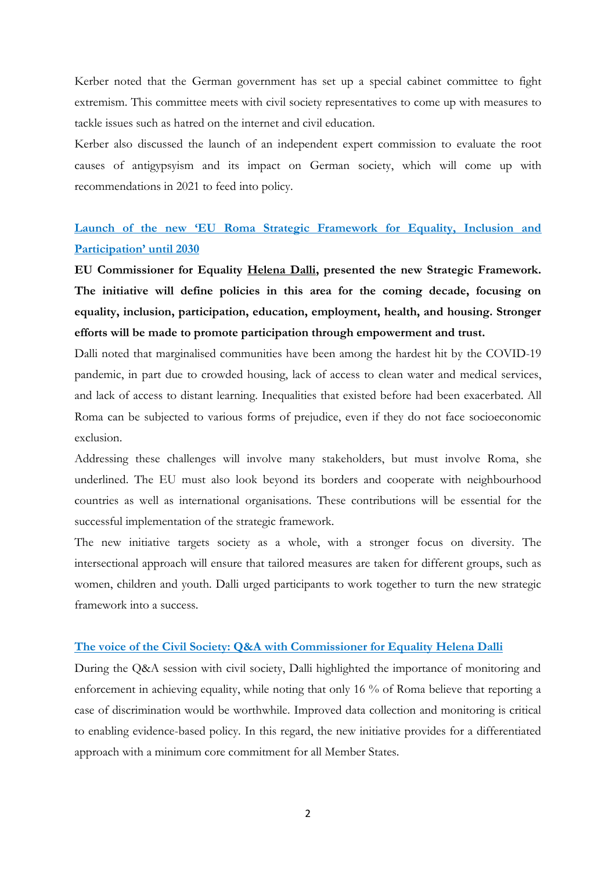Kerber noted that the German government has set up a special cabinet committee to fight extremism. This committee meets with civil society representatives to come up with measures to tackle issues such as hatred on the internet and civil education.

Kerber also discussed the launch of an independent expert commission to evaluate the root causes of antigypsyism and its impact on German society, which will come up with recommendations in 2021 to feed into policy.

## **Launch of the new 'EU Roma Strategic Framework for Equality, Inclusion and Participation' until 2030**

**EU Commissioner for Equality Helena Dalli, presented the new Strategic Framework. The initiative will define policies in this area for the coming decade, focusing on equality, inclusion, participation, education, employment, health, and housing. Stronger efforts will be made to promote participation through empowerment and trust.**

Dalli noted that marginalised communities have been among the hardest hit by the COVID-19 pandemic, in part due to crowded housing, lack of access to clean water and medical services, and lack of access to distant learning. Inequalities that existed before had been exacerbated. All Roma can be subjected to various forms of prejudice, even if they do not face socioeconomic exclusion.

Addressing these challenges will involve many stakeholders, but must involve Roma, she underlined. The EU must also look beyond its borders and cooperate with neighbourhood countries as well as international organisations. These contributions will be essential for the successful implementation of the strategic framework.

The new initiative targets society as a whole, with a stronger focus on diversity. The intersectional approach will ensure that tailored measures are taken for different groups, such as women, children and youth. Dalli urged participants to work together to turn the new strategic framework into a success.

#### **The voice of the Civil Society: Q&A with Commissioner for Equality Helena Dalli**

During the Q&A session with civil society, Dalli highlighted the importance of monitoring and enforcement in achieving equality, while noting that only 16 % of Roma believe that reporting a case of discrimination would be worthwhile. Improved data collection and monitoring is critical to enabling evidence-based policy. In this regard, the new initiative provides for a differentiated approach with a minimum core commitment for all Member States.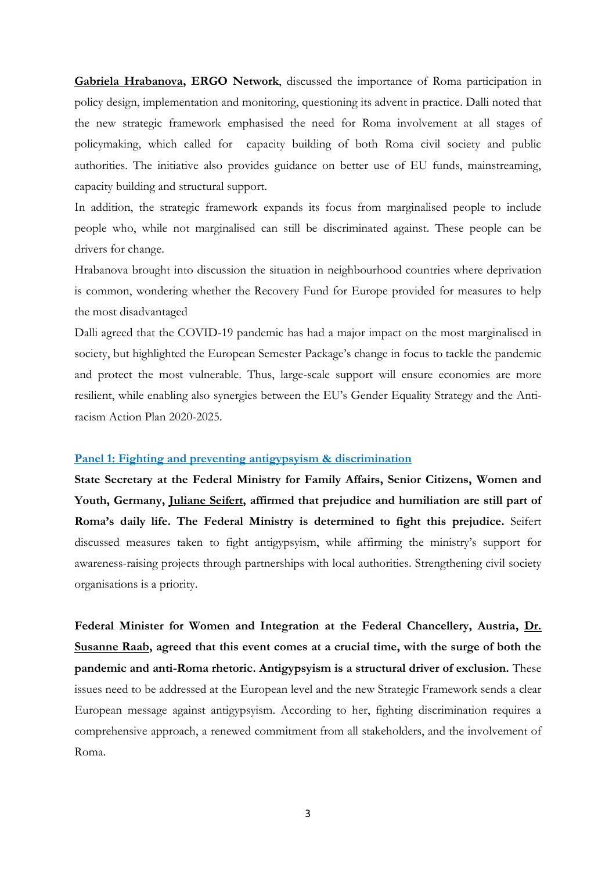**Gabriela Hrabanova, ERGO Network**, discussed the importance of Roma participation in policy design, implementation and monitoring, questioning its advent in practice. Dalli noted that the new strategic framework emphasised the need for Roma involvement at all stages of policymaking, which called for capacity building of both Roma civil society and public authorities. The initiative also provides guidance on better use of EU funds, mainstreaming, capacity building and structural support.

In addition, the strategic framework expands its focus from marginalised people to include people who, while not marginalised can still be discriminated against. These people can be drivers for change.

Hrabanova brought into discussion the situation in neighbourhood countries where deprivation is common, wondering whether the Recovery Fund for Europe provided for measures to help the most disadvantaged

Dalli agreed that the COVID-19 pandemic has had a major impact on the most marginalised in society, but highlighted the European Semester Package's change in focus to tackle the pandemic and protect the most vulnerable. Thus, large-scale support will ensure economies are more resilient, while enabling also synergies between the EU's Gender Equality Strategy and the Antiracism Action Plan 2020-2025.

### **Panel 1: Fighting and preventing antigypsyism & discrimination**

**State Secretary at the Federal Ministry for Family Affairs, Senior Citizens, Women and Youth, Germany, Juliane Seifert, affirmed that prejudice and humiliation are still part of Roma's daily life. The Federal Ministry is determined to fight this prejudice.** Seifert discussed measures taken to fight antigypsyism, while affirming the ministry's support for awareness-raising projects through partnerships with local authorities. Strengthening civil society organisations is a priority.

**Federal Minister for Women and Integration at the Federal Chancellery, Austria, Dr. Susanne Raab, agreed that this event comes at a crucial time, with the surge of both the pandemic and anti-Roma rhetoric. Antigypsyism is a structural driver of exclusion.** These issues need to be addressed at the European level and the new Strategic Framework sends a clear European message against antigypsyism. According to her, fighting discrimination requires a comprehensive approach, a renewed commitment from all stakeholders, and the involvement of Roma.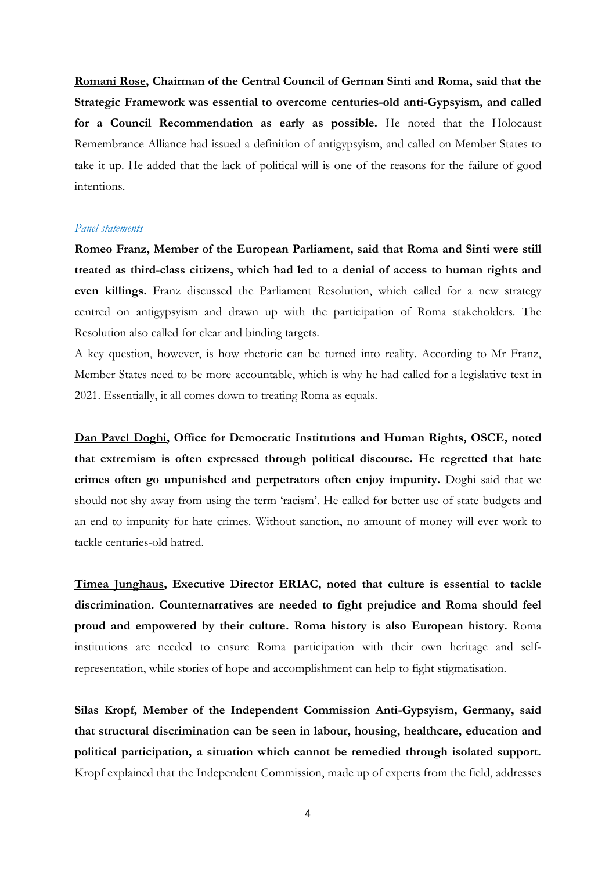**Romani Rose, Chairman of the Central Council of German Sinti and Roma, said that the Strategic Framework was essential to overcome centuries-old anti-Gypsyism, and called for a Council Recommendation as early as possible.** He noted that the Holocaust Remembrance Alliance had issued a definition of antigypsyism, and called on Member States to take it up. He added that the lack of political will is one of the reasons for the failure of good intentions.

#### *Panel statements*

**Romeo Franz, Member of the European Parliament, said that Roma and Sinti were still treated as third-class citizens, which had led to a denial of access to human rights and even killings.** Franz discussed the Parliament Resolution, which called for a new strategy centred on antigypsyism and drawn up with the participation of Roma stakeholders. The Resolution also called for clear and binding targets.

A key question, however, is how rhetoric can be turned into reality. According to Mr Franz, Member States need to be more accountable, which is why he had called for a legislative text in 2021. Essentially, it all comes down to treating Roma as equals.

**Dan Pavel Doghi, Office for Democratic Institutions and Human Rights, OSCE, noted that extremism is often expressed through political discourse. He regretted that hate crimes often go unpunished and perpetrators often enjoy impunity.** Doghi said that we should not shy away from using the term 'racism'. He called for better use of state budgets and an end to impunity for hate crimes. Without sanction, no amount of money will ever work to tackle centuries-old hatred.

**Timea Junghaus, Executive Director ERIAC, noted that culture is essential to tackle discrimination. Counternarratives are needed to fight prejudice and Roma should feel proud and empowered by their culture. Roma history is also European history.** Roma institutions are needed to ensure Roma participation with their own heritage and selfrepresentation, while stories of hope and accomplishment can help to fight stigmatisation.

**Silas Kropf, Member of the Independent Commission Anti-Gypsyism, Germany, said that structural discrimination can be seen in labour, housing, healthcare, education and political participation, a situation which cannot be remedied through isolated support.** Kropf explained that the Independent Commission, made up of experts from the field, addresses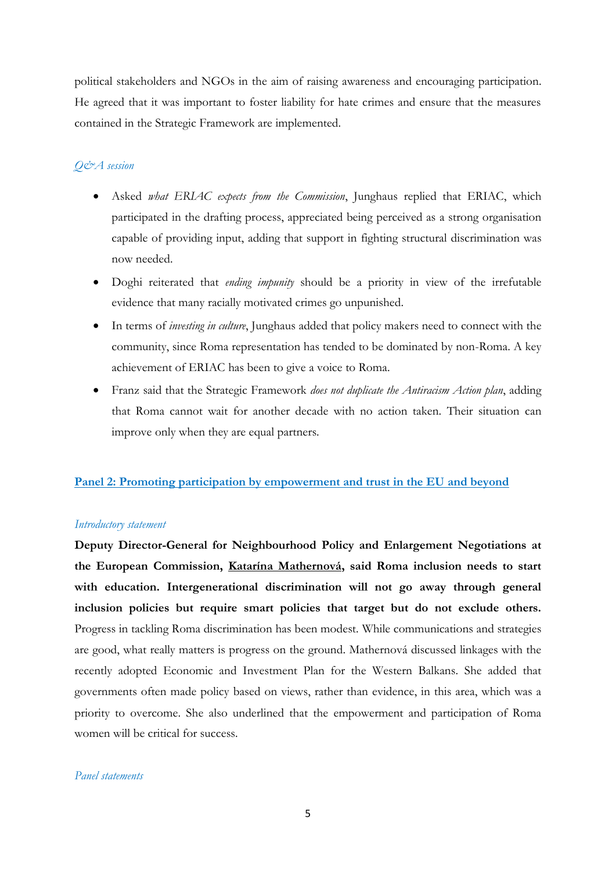political stakeholders and NGOs in the aim of raising awareness and encouraging participation. He agreed that it was important to foster liability for hate crimes and ensure that the measures contained in the Strategic Framework are implemented.

## *Q&A session*

- Asked *what ERIAC expects from the Commission*, Junghaus replied that ERIAC, which participated in the drafting process, appreciated being perceived as a strong organisation capable of providing input, adding that support in fighting structural discrimination was now needed.
- Doghi reiterated that *ending impunity* should be a priority in view of the irrefutable evidence that many racially motivated crimes go unpunished.
- In terms of *investing in culture*, Junghaus added that policy makers need to connect with the community, since Roma representation has tended to be dominated by non-Roma. A key achievement of ERIAC has been to give a voice to Roma.
- Franz said that the Strategic Framework *does not duplicate the Antiracism Action plan*, adding that Roma cannot wait for another decade with no action taken. Their situation can improve only when they are equal partners.

## **Panel 2: Promoting participation by empowerment and trust in the EU and beyond**

#### *Introductory statement*

**Deputy Director-General for Neighbourhood Policy and Enlargement Negotiations at the European Commission, Katarína Mathernová, said Roma inclusion needs to start with education. Intergenerational discrimination will not go away through general inclusion policies but require smart policies that target but do not exclude others.**  Progress in tackling Roma discrimination has been modest. While communications and strategies are good, what really matters is progress on the ground. Mathernová discussed linkages with the recently adopted Economic and Investment Plan for the Western Balkans. She added that governments often made policy based on views, rather than evidence, in this area, which was a priority to overcome. She also underlined that the empowerment and participation of Roma women will be critical for success.

#### *Panel statements*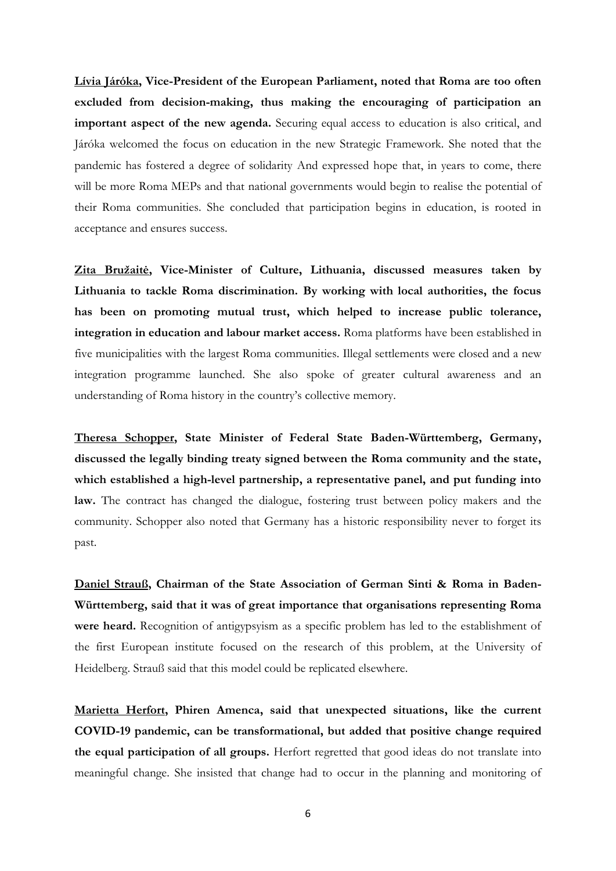**Lívia Járóka, Vice-President of the European Parliament, noted that Roma are too often excluded from decision-making, thus making the encouraging of participation an important aspect of the new agenda.** Securing equal access to education is also critical, and Járóka welcomed the focus on education in the new Strategic Framework. She noted that the pandemic has fostered a degree of solidarity And expressed hope that, in years to come, there will be more Roma MEPs and that national governments would begin to realise the potential of their Roma communities. She concluded that participation begins in education, is rooted in acceptance and ensures success.

**Zita Bružaitė, Vice-Minister of Culture, Lithuania, discussed measures taken by Lithuania to tackle Roma discrimination. By working with local authorities, the focus has been on promoting mutual trust, which helped to increase public tolerance, integration in education and labour market access.** Roma platforms have been established in five municipalities with the largest Roma communities. Illegal settlements were closed and a new integration programme launched. She also spoke of greater cultural awareness and an understanding of Roma history in the country's collective memory.

**Theresa Schopper, State Minister of Federal State Baden-Württemberg, Germany, discussed the legally binding treaty signed between the Roma community and the state, which established a high-level partnership, a representative panel, and put funding into law.** The contract has changed the dialogue, fostering trust between policy makers and the community. Schopper also noted that Germany has a historic responsibility never to forget its past.

**Daniel Strauß, Chairman of the State Association of German Sinti & Roma in Baden-Württemberg, said that it was of great importance that organisations representing Roma were heard.** Recognition of antigypsyism as a specific problem has led to the establishment of the first European institute focused on the research of this problem, at the University of Heidelberg. Strauß said that this model could be replicated elsewhere.

**Marietta Herfort, Phiren Amenca, said that unexpected situations, like the current COVID-19 pandemic, can be transformational, but added that positive change required the equal participation of all groups.** Herfort regretted that good ideas do not translate into meaningful change. She insisted that change had to occur in the planning and monitoring of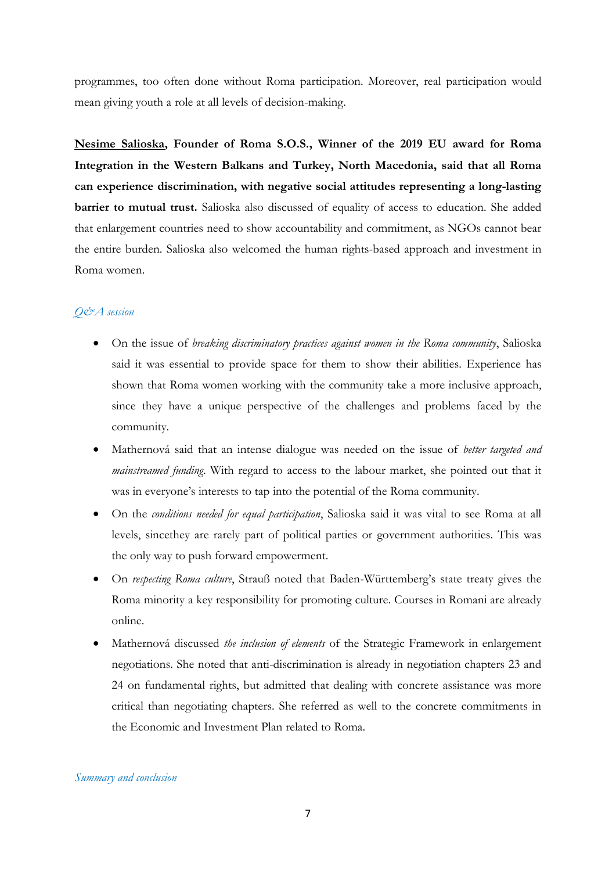programmes, too often done without Roma participation. Moreover, real participation would mean giving youth a role at all levels of decision-making.

**Nesime Salioska, Founder of Roma S.O.S., Winner of the 2019 EU award for Roma Integration in the Western Balkans and Turkey, North Macedonia, said that all Roma can experience discrimination, with negative social attitudes representing a long-lasting barrier to mutual trust.** Salioska also discussed of equality of access to education. She added that enlargement countries need to show accountability and commitment, as NGOs cannot bear the entire burden. Salioska also welcomed the human rights-based approach and investment in Roma women.

## *Q&A session*

- On the issue of *breaking discriminatory practices against women in the Roma community*, Salioska said it was essential to provide space for them to show their abilities. Experience has shown that Roma women working with the community take a more inclusive approach, since they have a unique perspective of the challenges and problems faced by the community.
- Mathernová said that an intense dialogue was needed on the issue of *better targeted and mainstreamed funding*. With regard to access to the labour market, she pointed out that it was in everyone's interests to tap into the potential of the Roma community.
- On the *conditions needed for equal participation*, Salioska said it was vital to see Roma at all levels, sincethey are rarely part of political parties or government authorities. This was the only way to push forward empowerment.
- On *respecting Roma culture*, Strauß noted that Baden-Württemberg's state treaty gives the Roma minority a key responsibility for promoting culture. Courses in Romani are already online.
- Mathernová discussed *the inclusion of elements* of the Strategic Framework in enlargement negotiations. She noted that anti-discrimination is already in negotiation chapters 23 and 24 on fundamental rights, but admitted that dealing with concrete assistance was more critical than negotiating chapters. She referred as well to the concrete commitments in the Economic and Investment Plan related to Roma.

#### *Summary and conclusion*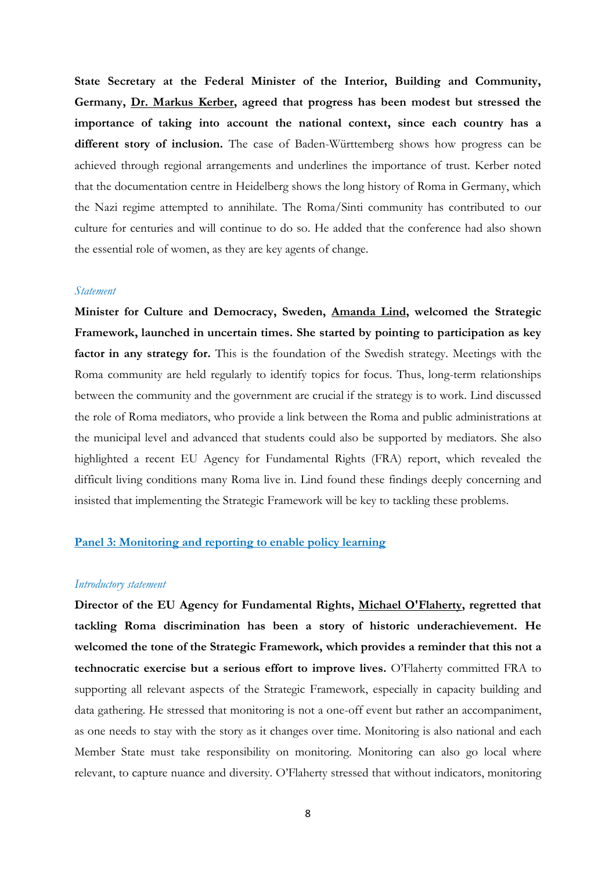**State Secretary at the Federal Minister of the Interior, Building and Community, Germany, Dr. Markus Kerber, agreed that progress has been modest but stressed the importance of taking into account the national context, since each country has a different story of inclusion.** The case of Baden-Württemberg shows how progress can be achieved through regional arrangements and underlines the importance of trust. Kerber noted that the documentation centre in Heidelberg shows the long history of Roma in Germany, which the Nazi regime attempted to annihilate. The Roma/Sinti community has contributed to our culture for centuries and will continue to do so. He added that the conference had also shown the essential role of women, as they are key agents of change.

#### *Statement*

**Minister for Culture and Democracy, Sweden, Amanda Lind, welcomed the Strategic Framework, launched in uncertain times. She started by pointing to participation as key**  factor in any strategy for. This is the foundation of the Swedish strategy. Meetings with the Roma community are held regularly to identify topics for focus. Thus, long-term relationships between the community and the government are crucial if the strategy is to work. Lind discussed the role of Roma mediators, who provide a link between the Roma and public administrations at the municipal level and advanced that students could also be supported by mediators. She also highlighted a recent EU Agency for Fundamental Rights (FRA) report, which revealed the difficult living conditions many Roma live in. Lind found these findings deeply concerning and insisted that implementing the Strategic Framework will be key to tackling these problems.

#### **Panel 3: Monitoring and reporting to enable policy learning**

#### *Introductory statement*

**Director of the EU Agency for Fundamental Rights, Michael O'Flaherty, regretted that tackling Roma discrimination has been a story of historic underachievement. He welcomed the tone of the Strategic Framework, which provides a reminder that this not a technocratic exercise but a serious effort to improve lives.** O'Flaherty committed FRA to supporting all relevant aspects of the Strategic Framework, especially in capacity building and data gathering. He stressed that monitoring is not a one-off event but rather an accompaniment, as one needs to stay with the story as it changes over time. Monitoring is also national and each Member State must take responsibility on monitoring. Monitoring can also go local where relevant, to capture nuance and diversity. O'Flaherty stressed that without indicators, monitoring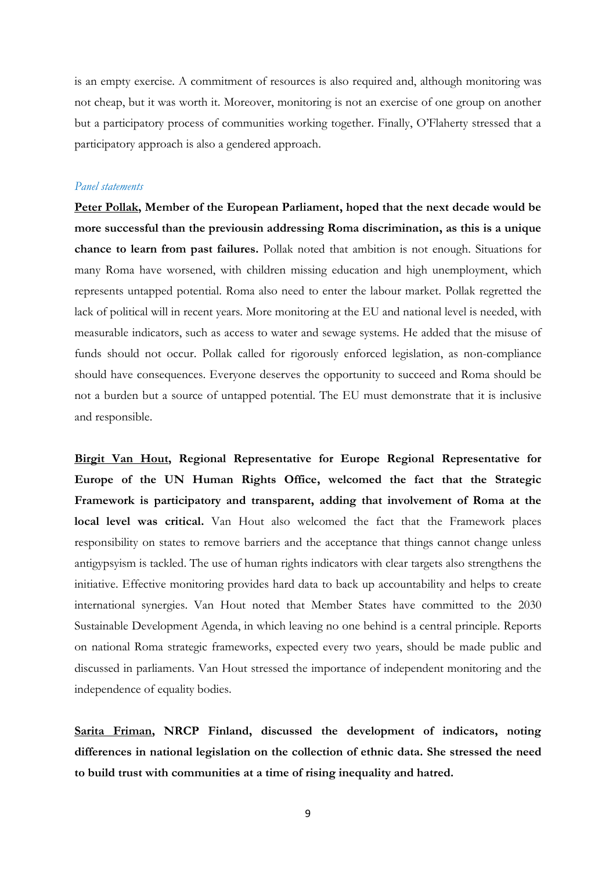is an empty exercise. A commitment of resources is also required and, although monitoring was not cheap, but it was worth it. Moreover, monitoring is not an exercise of one group on another but a participatory process of communities working together. Finally, O'Flaherty stressed that a participatory approach is also a gendered approach.

## *Panel statements*

**Peter Pollak, Member of the European Parliament, hoped that the next decade would be more successful than the previousin addressing Roma discrimination, as this is a unique chance to learn from past failures.** Pollak noted that ambition is not enough. Situations for many Roma have worsened, with children missing education and high unemployment, which represents untapped potential. Roma also need to enter the labour market. Pollak regretted the lack of political will in recent years. More monitoring at the EU and national level is needed, with measurable indicators, such as access to water and sewage systems. He added that the misuse of funds should not occur. Pollak called for rigorously enforced legislation, as non-compliance should have consequences. Everyone deserves the opportunity to succeed and Roma should be not a burden but a source of untapped potential. The EU must demonstrate that it is inclusive and responsible.

**Birgit Van Hout, Regional Representative for Europe Regional Representative for Europe of the UN Human Rights Office, welcomed the fact that the Strategic Framework is participatory and transparent, adding that involvement of Roma at the local level was critical.** Van Hout also welcomed the fact that the Framework places responsibility on states to remove barriers and the acceptance that things cannot change unless antigypsyism is tackled. The use of human rights indicators with clear targets also strengthens the initiative. Effective monitoring provides hard data to back up accountability and helps to create international synergies. Van Hout noted that Member States have committed to the 2030 Sustainable Development Agenda, in which leaving no one behind is a central principle. Reports on national Roma strategic frameworks, expected every two years, should be made public and discussed in parliaments. Van Hout stressed the importance of independent monitoring and the independence of equality bodies.

**Sarita Friman, NRCP Finland, discussed the development of indicators, noting differences in national legislation on the collection of ethnic data. She stressed the need to build trust with communities at a time of rising inequality and hatred.**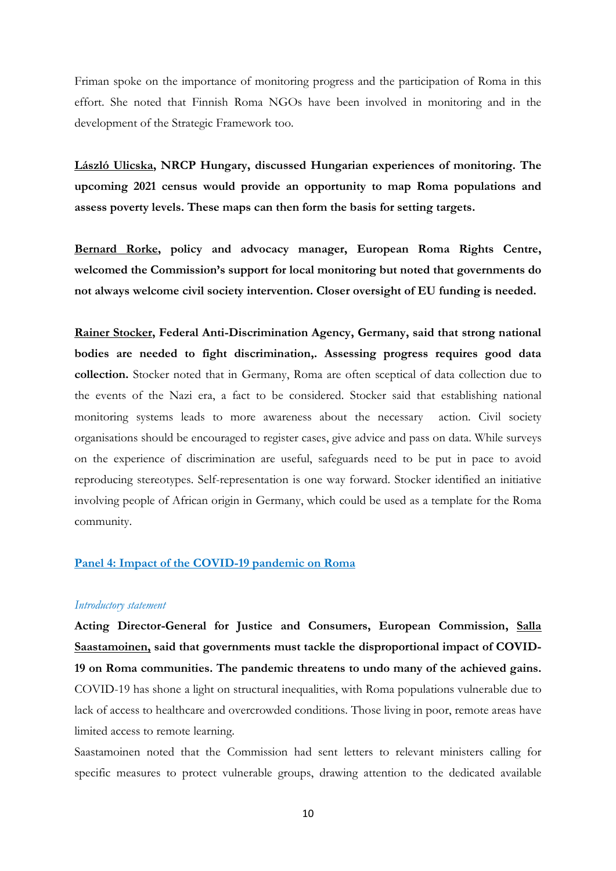Friman spoke on the importance of monitoring progress and the participation of Roma in this effort. She noted that Finnish Roma NGOs have been involved in monitoring and in the development of the Strategic Framework too.

**László Ulicska, NRCP Hungary, discussed Hungarian experiences of monitoring. The upcoming 2021 census would provide an opportunity to map Roma populations and assess poverty levels. These maps can then form the basis for setting targets.** 

**Bernard Rorke, policy and advocacy manager, European Roma Rights Centre, welcomed the Commission's support for local monitoring but noted that governments do not always welcome civil society intervention. Closer oversight of EU funding is needed.** 

**Rainer Stocker, Federal Anti-Discrimination Agency, Germany, said that strong national bodies are needed to fight discrimination,. Assessing progress requires good data collection.** Stocker noted that in Germany, Roma are often sceptical of data collection due to the events of the Nazi era, a fact to be considered. Stocker said that establishing national monitoring systems leads to more awareness about the necessary action. Civil society organisations should be encouraged to register cases, give advice and pass on data. While surveys on the experience of discrimination are useful, safeguards need to be put in pace to avoid reproducing stereotypes. Self-representation is one way forward. Stocker identified an initiative involving people of African origin in Germany, which could be used as a template for the Roma community.

#### **Panel 4: Impact of the COVID-19 pandemic on Roma**

#### *Introductory statement*

**Acting Director-General for Justice and Consumers, European Commission, Salla Saastamoinen, said that governments must tackle the disproportional impact of COVID-19 on Roma communities. The pandemic threatens to undo many of the achieved gains.**  COVID-19 has shone a light on structural inequalities, with Roma populations vulnerable due to lack of access to healthcare and overcrowded conditions. Those living in poor, remote areas have limited access to remote learning.

Saastamoinen noted that the Commission had sent letters to relevant ministers calling for specific measures to protect vulnerable groups, drawing attention to the dedicated available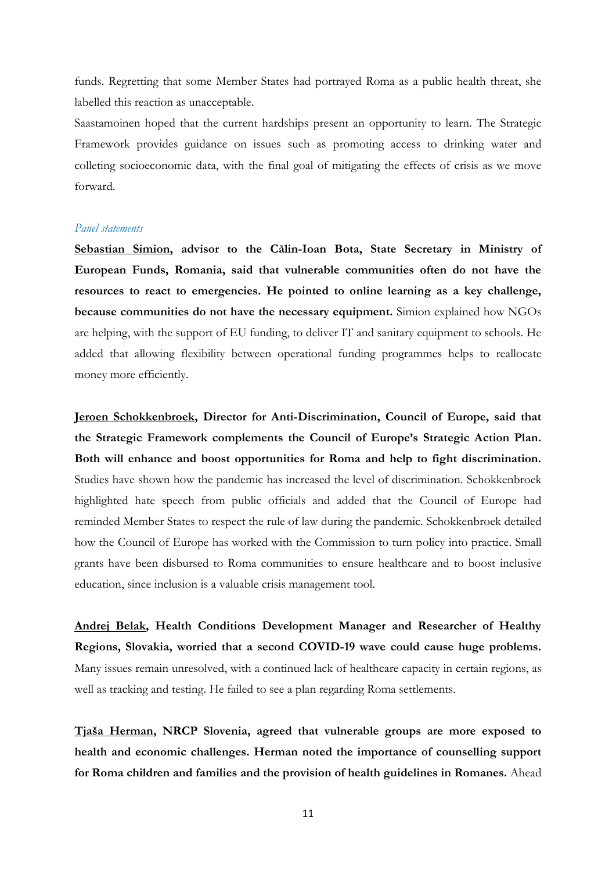funds. Regretting that some Member States had portrayed Roma as a public health threat, she labelled this reaction as unacceptable.

Saastamoinen hoped that the current hardships present an opportunity to learn. The Strategic Framework provides guidance on issues such as promoting access to drinking water and colleting socioeconomic data, with the final goal of mitigating the effects of crisis as we move forward.

#### *Panel statements*

**Sebastian Simion, advisor to the Călin-Ioan Bota, State Secretary in Ministry of European Funds, Romania, said that vulnerable communities often do not have the resources to react to emergencies. He pointed to online learning as a key challenge, because communities do not have the necessary equipment.** Simion explained how NGOs are helping, with the support of EU funding, to deliver IT and sanitary equipment to schools. He added that allowing flexibility between operational funding programmes helps to reallocate money more efficiently.

**Jeroen Schokkenbroek, Director for Anti-Discrimination, Council of Europe, said that the Strategic Framework complements the Council of Europe's Strategic Action Plan. Both will enhance and boost opportunities for Roma and help to fight discrimination.**  Studies have shown how the pandemic has increased the level of discrimination. Schokkenbroek highlighted hate speech from public officials and added that the Council of Europe had reminded Member States to respect the rule of law during the pandemic. Schokkenbroek detailed how the Council of Europe has worked with the Commission to turn policy into practice. Small grants have been disbursed to Roma communities to ensure healthcare and to boost inclusive education, since inclusion is a valuable crisis management tool.

**Andrej Belak, Health Conditions Development Manager and Researcher of Healthy Regions, Slovakia, worried that a second COVID-19 wave could cause huge problems.**  Many issues remain unresolved, with a continued lack of healthcare capacity in certain regions, as well as tracking and testing. He failed to see a plan regarding Roma settlements.

**Tjaša Herman, NRCP Slovenia, agreed that vulnerable groups are more exposed to health and economic challenges. Herman noted the importance of counselling support for Roma children and families and the provision of health guidelines in Romanes.** Ahead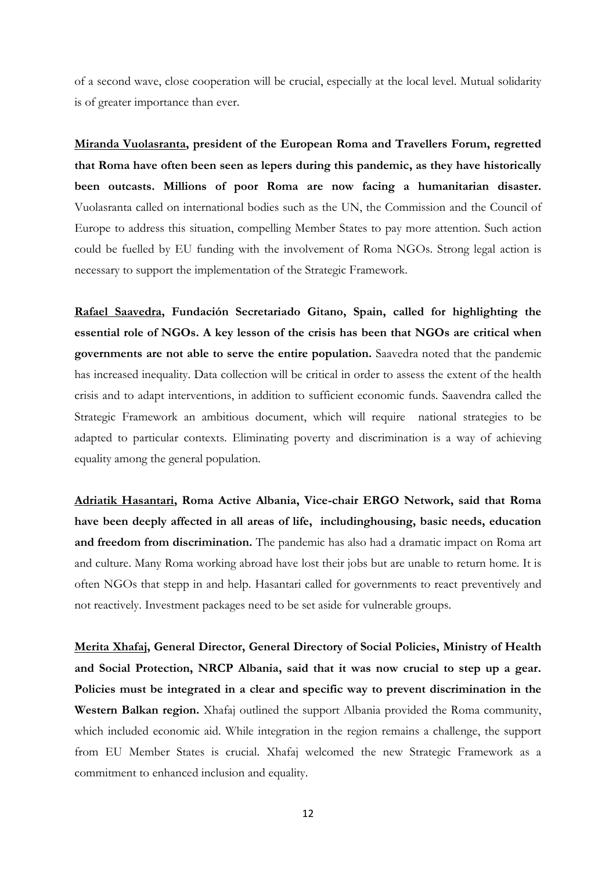of a second wave, close cooperation will be crucial, especially at the local level. Mutual solidarity is of greater importance than ever.

**Miranda Vuolasranta, president of the European Roma and Travellers Forum, regretted that Roma have often been seen as lepers during this pandemic, as they have historically been outcasts. Millions of poor Roma are now facing a humanitarian disaster.**  Vuolasranta called on international bodies such as the UN, the Commission and the Council of Europe to address this situation, compelling Member States to pay more attention. Such action could be fuelled by EU funding with the involvement of Roma NGOs. Strong legal action is necessary to support the implementation of the Strategic Framework.

**Rafael Saavedra, Fundación Secretariado Gitano, Spain, called for highlighting the essential role of NGOs. A key lesson of the crisis has been that NGOs are critical when governments are not able to serve the entire population.** Saavedra noted that the pandemic has increased inequality. Data collection will be critical in order to assess the extent of the health crisis and to adapt interventions, in addition to sufficient economic funds. Saavendra called the Strategic Framework an ambitious document, which will require national strategies to be adapted to particular contexts. Eliminating poverty and discrimination is a way of achieving equality among the general population.

**Adriatik Hasantari, Roma Active Albania, Vice-chair ERGO Network, said that Roma have been deeply affected in all areas of life, includinghousing, basic needs, education and freedom from discrimination.** The pandemic has also had a dramatic impact on Roma art and culture. Many Roma working abroad have lost their jobs but are unable to return home. It is often NGOs that stepp in and help. Hasantari called for governments to react preventively and not reactively. Investment packages need to be set aside for vulnerable groups.

**Merita Xhafaj, General Director, General Directory of Social Policies, Ministry of Health and Social Protection, NRCP Albania, said that it was now crucial to step up a gear. Policies must be integrated in a clear and specific way to prevent discrimination in the Western Balkan region.** Xhafaj outlined the support Albania provided the Roma community, which included economic aid. While integration in the region remains a challenge, the support from EU Member States is crucial. Xhafaj welcomed the new Strategic Framework as a commitment to enhanced inclusion and equality.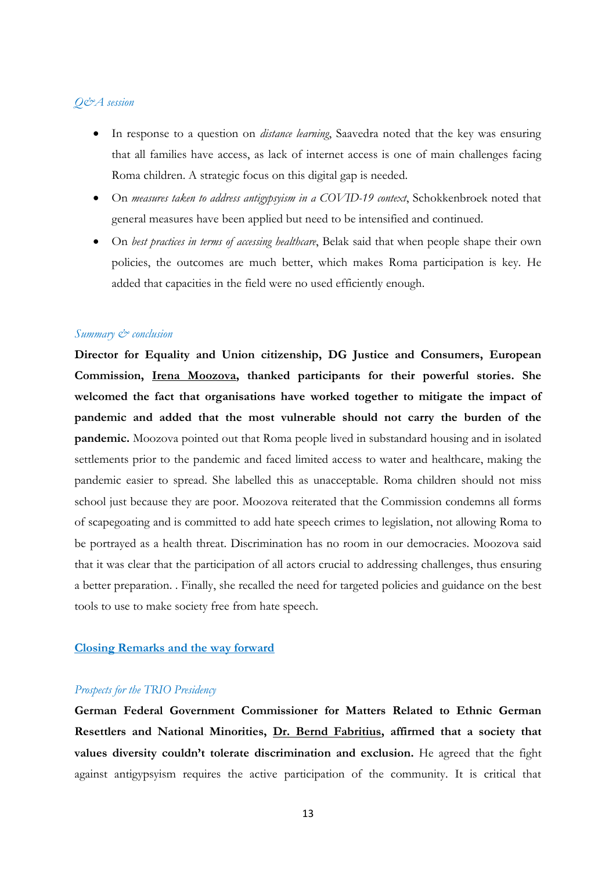## *Q&A session*

- In response to a question on *distance learning*, Saavedra noted that the key was ensuring that all families have access, as lack of internet access is one of main challenges facing Roma children. A strategic focus on this digital gap is needed.
- On *measures taken to address antigypsyism in a COVID-19 context*, Schokkenbroek noted that general measures have been applied but need to be intensified and continued.
- On *best practices in terms of accessing healthcare*, Belak said that when people shape their own policies, the outcomes are much better, which makes Roma participation is key. He added that capacities in the field were no used efficiently enough.

#### *Summary & conclusion*

**Director for Equality and Union citizenship, DG Justice and Consumers, European Commission, Irena Moozova, thanked participants for their powerful stories. She welcomed the fact that organisations have worked together to mitigate the impact of pandemic and added that the most vulnerable should not carry the burden of the pandemic.** Moozova pointed out that Roma people lived in substandard housing and in isolated settlements prior to the pandemic and faced limited access to water and healthcare, making the pandemic easier to spread. She labelled this as unacceptable. Roma children should not miss school just because they are poor. Moozova reiterated that the Commission condemns all forms of scapegoating and is committed to add hate speech crimes to legislation, not allowing Roma to be portrayed as a health threat. Discrimination has no room in our democracies. Moozova said that it was clear that the participation of all actors crucial to addressing challenges, thus ensuring a better preparation. . Finally, she recalled the need for targeted policies and guidance on the best tools to use to make society free from hate speech.

### **Closing Remarks and the way forward**

#### *Prospects for the TRIO Presidency*

**German Federal Government Commissioner for Matters Related to Ethnic German Resettlers and National Minorities, Dr. Bernd Fabritius, affirmed that a society that values diversity couldn't tolerate discrimination and exclusion.** He agreed that the fight against antigypsyism requires the active participation of the community. It is critical that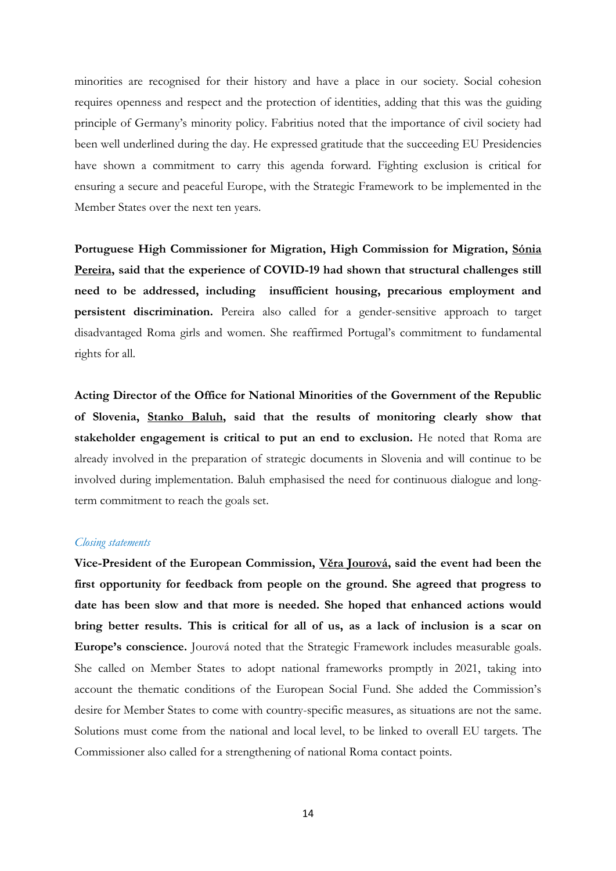minorities are recognised for their history and have a place in our society. Social cohesion requires openness and respect and the protection of identities, adding that this was the guiding principle of Germany's minority policy. Fabritius noted that the importance of civil society had been well underlined during the day. He expressed gratitude that the succeeding EU Presidencies have shown a commitment to carry this agenda forward. Fighting exclusion is critical for ensuring a secure and peaceful Europe, with the Strategic Framework to be implemented in the Member States over the next ten years.

**Portuguese High Commissioner for Migration, High Commission for Migration, Sónia Pereira, said that the experience of COVID-19 had shown that structural challenges still need to be addressed, including insufficient housing, precarious employment and persistent discrimination.** Pereira also called for a gender-sensitive approach to target disadvantaged Roma girls and women. She reaffirmed Portugal's commitment to fundamental rights for all.

**Acting Director of the Office for National Minorities of the Government of the Republic of Slovenia, Stanko Baluh, said that the results of monitoring clearly show that stakeholder engagement is critical to put an end to exclusion.** He noted that Roma are already involved in the preparation of strategic documents in Slovenia and will continue to be involved during implementation. Baluh emphasised the need for continuous dialogue and longterm commitment to reach the goals set.

#### *Closing statements*

**Vice-President of the European Commission, Věra Jourová, said the event had been the first opportunity for feedback from people on the ground. She agreed that progress to date has been slow and that more is needed. She hoped that enhanced actions would bring better results. This is critical for all of us, as a lack of inclusion is a scar on Europe's conscience.** Jourová noted that the Strategic Framework includes measurable goals. She called on Member States to adopt national frameworks promptly in 2021, taking into account the thematic conditions of the European Social Fund. She added the Commission's desire for Member States to come with country-specific measures, as situations are not the same. Solutions must come from the national and local level, to be linked to overall EU targets. The Commissioner also called for a strengthening of national Roma contact points.